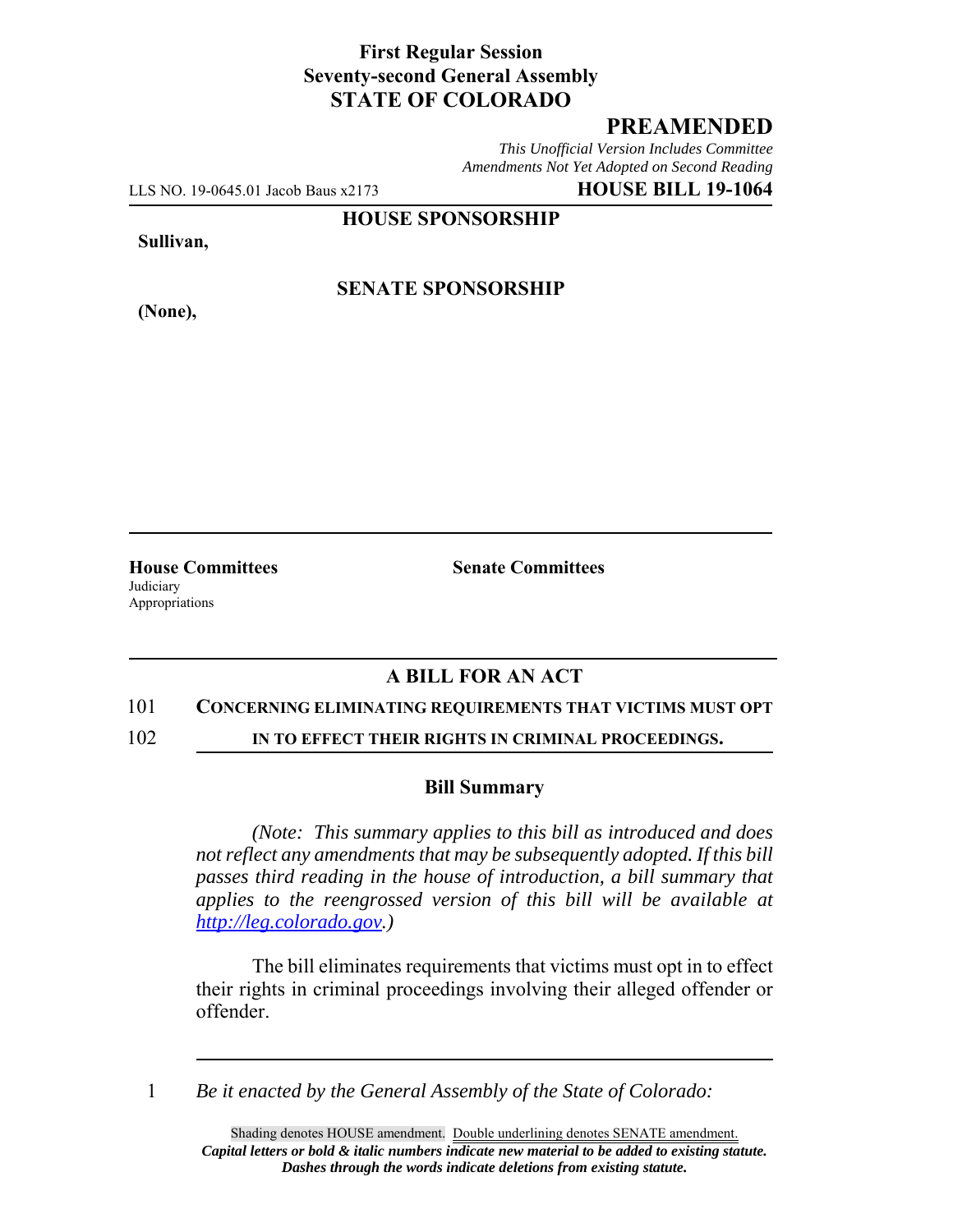# **First Regular Session Seventy-second General Assembly STATE OF COLORADO**

# **PREAMENDED**

*This Unofficial Version Includes Committee Amendments Not Yet Adopted on Second Reading*

LLS NO. 19-0645.01 Jacob Baus x2173 **HOUSE BILL 19-1064**

**HOUSE SPONSORSHIP**

**Sullivan,**

**(None),**

**SENATE SPONSORSHIP**

**House Committees Senate Committees Judiciary** Appropriations

### **A BILL FOR AN ACT**

### 101 **CONCERNING ELIMINATING REQUIREMENTS THAT VICTIMS MUST OPT**

102 **IN TO EFFECT THEIR RIGHTS IN CRIMINAL PROCEEDINGS.**

### **Bill Summary**

*(Note: This summary applies to this bill as introduced and does not reflect any amendments that may be subsequently adopted. If this bill passes third reading in the house of introduction, a bill summary that applies to the reengrossed version of this bill will be available at http://leg.colorado.gov.)*

The bill eliminates requirements that victims must opt in to effect their rights in criminal proceedings involving their alleged offender or offender.

1 *Be it enacted by the General Assembly of the State of Colorado:*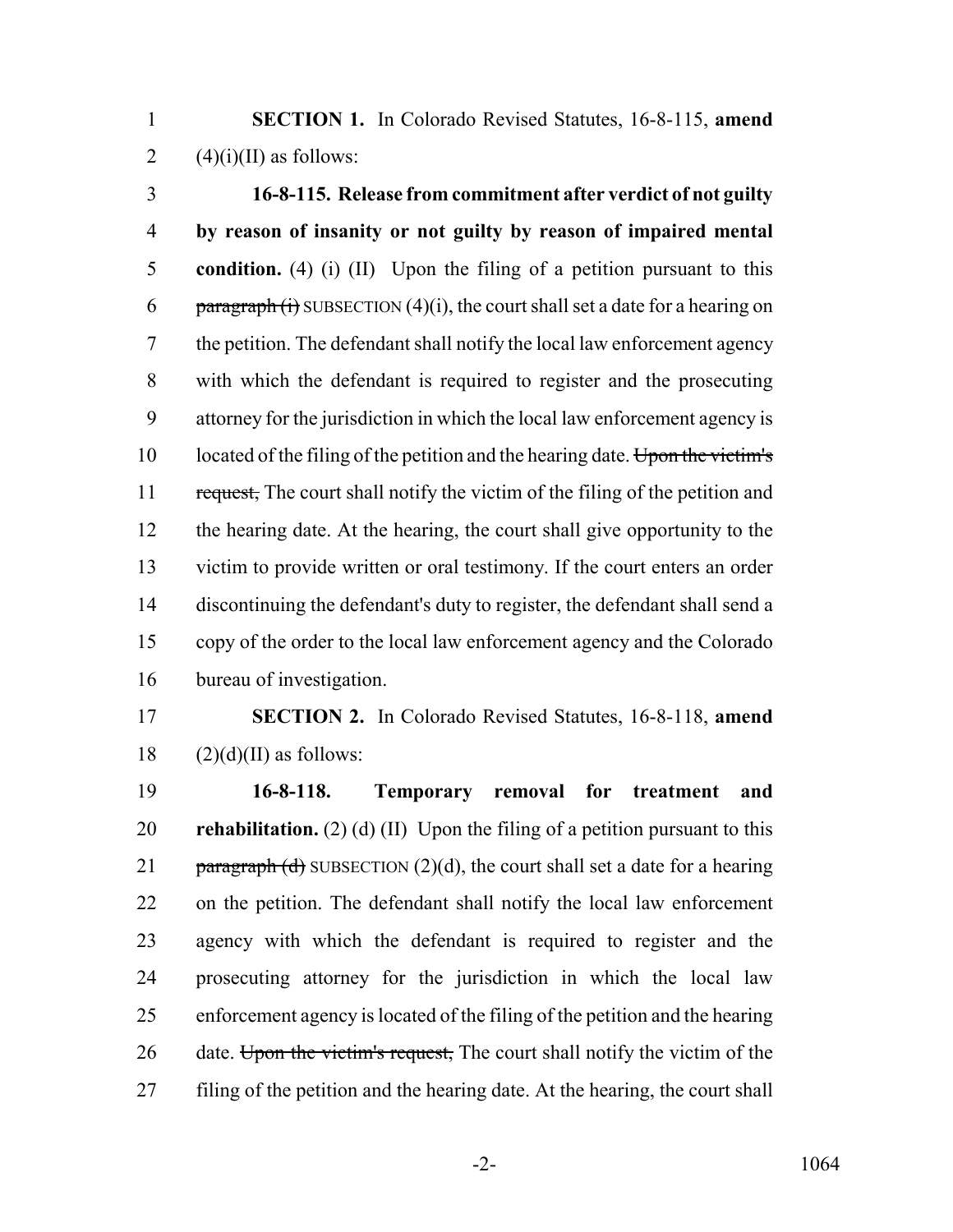**SECTION 1.** In Colorado Revised Statutes, 16-8-115, **amend** 2  $(4)(i)(II)$  as follows:

 **16-8-115. Release from commitment after verdict of not guilty by reason of insanity or not guilty by reason of impaired mental condition.** (4) (i) (II) Upon the filing of a petition pursuant to this 6 paragraph (i) SUBSECTION (4)(i), the court shall set a date for a hearing on the petition. The defendant shall notify the local law enforcement agency with which the defendant is required to register and the prosecuting attorney for the jurisdiction in which the local law enforcement agency is 10 located of the filing of the petition and the hearing date. Upon the victim's 11 request, The court shall notify the victim of the filing of the petition and the hearing date. At the hearing, the court shall give opportunity to the victim to provide written or oral testimony. If the court enters an order discontinuing the defendant's duty to register, the defendant shall send a copy of the order to the local law enforcement agency and the Colorado bureau of investigation.

 **SECTION 2.** In Colorado Revised Statutes, 16-8-118, **amend** (2)(d)(II) as follows:

 **16-8-118. Temporary removal for treatment and rehabilitation.** (2) (d) (II) Upon the filing of a petition pursuant to this 21 paragraph (d) SUBSECTION (2)(d), the court shall set a date for a hearing on the petition. The defendant shall notify the local law enforcement agency with which the defendant is required to register and the prosecuting attorney for the jurisdiction in which the local law enforcement agency is located of the filing of the petition and the hearing 26 date. Upon the victim's request, The court shall notify the victim of the filing of the petition and the hearing date. At the hearing, the court shall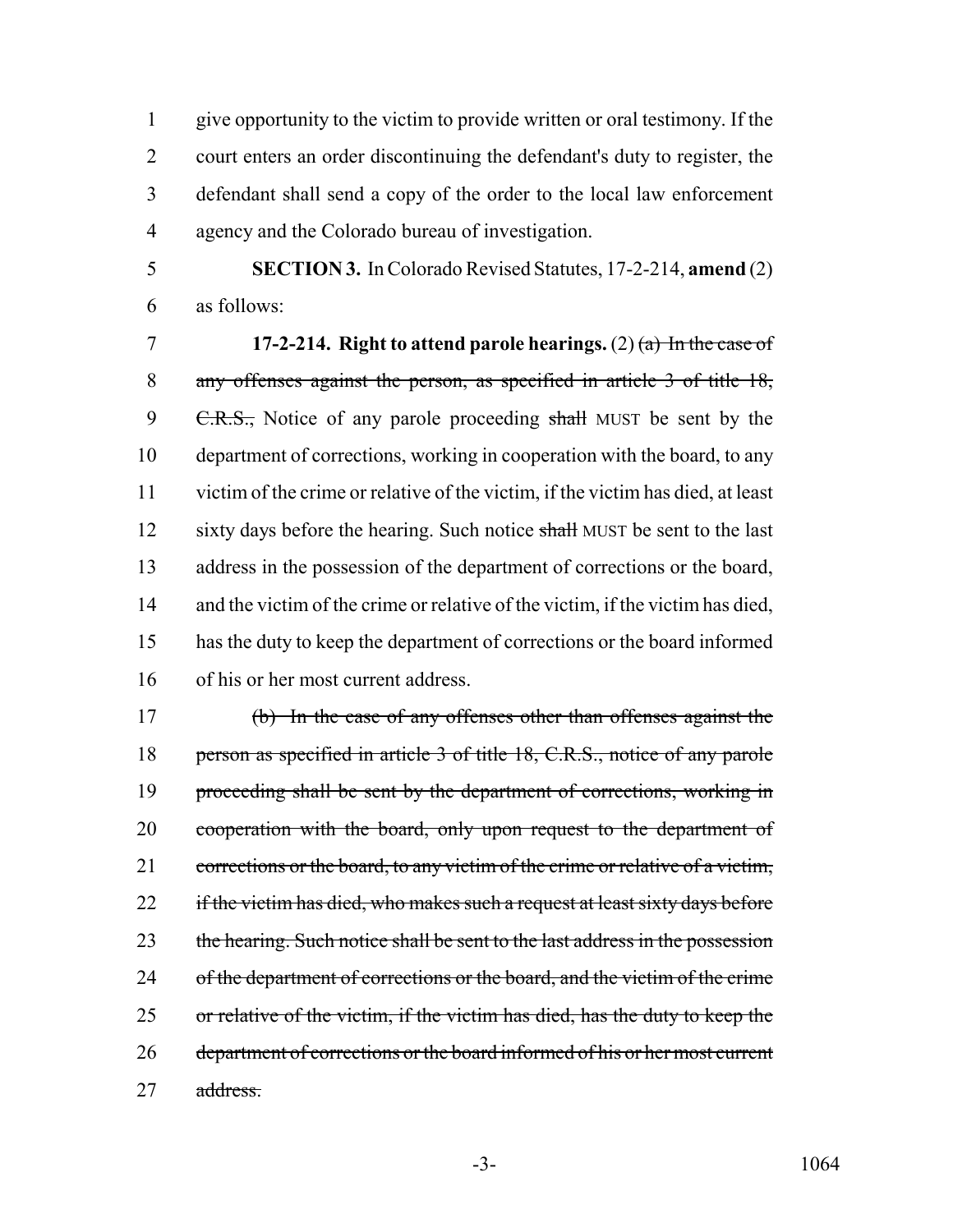give opportunity to the victim to provide written or oral testimony. If the court enters an order discontinuing the defendant's duty to register, the defendant shall send a copy of the order to the local law enforcement agency and the Colorado bureau of investigation.

 **SECTION 3.** In Colorado Revised Statutes, 17-2-214, **amend** (2) as follows:

 **17-2-214. Right to attend parole hearings.** (2) (a) In the case of any offenses against the person, as specified in article 3 of title 18, 9 C.R.S., Notice of any parole proceeding shall MUST be sent by the department of corrections, working in cooperation with the board, to any victim of the crime or relative of the victim, if the victim has died, at least 12 sixty days before the hearing. Such notice shall MUST be sent to the last address in the possession of the department of corrections or the board, 14 and the victim of the crime or relative of the victim, if the victim has died, has the duty to keep the department of corrections or the board informed of his or her most current address.

 (b) In the case of any offenses other than offenses against the 18 person as specified in article 3 of title 18, C.R.S., notice of any parole 19 proceeding shall be sent by the department of corrections, working in 20 cooperation with the board, only upon request to the department of 21 corrections or the board, to any victim of the crime or relative of a victim, 22 if the victim has died, who makes such a request at least sixty days before 23 the hearing. Such notice shall be sent to the last address in the possession 24 of the department of corrections or the board, and the victim of the crime or relative of the victim, if the victim has died, has the duty to keep the department of corrections or the board informed of his or her most current address.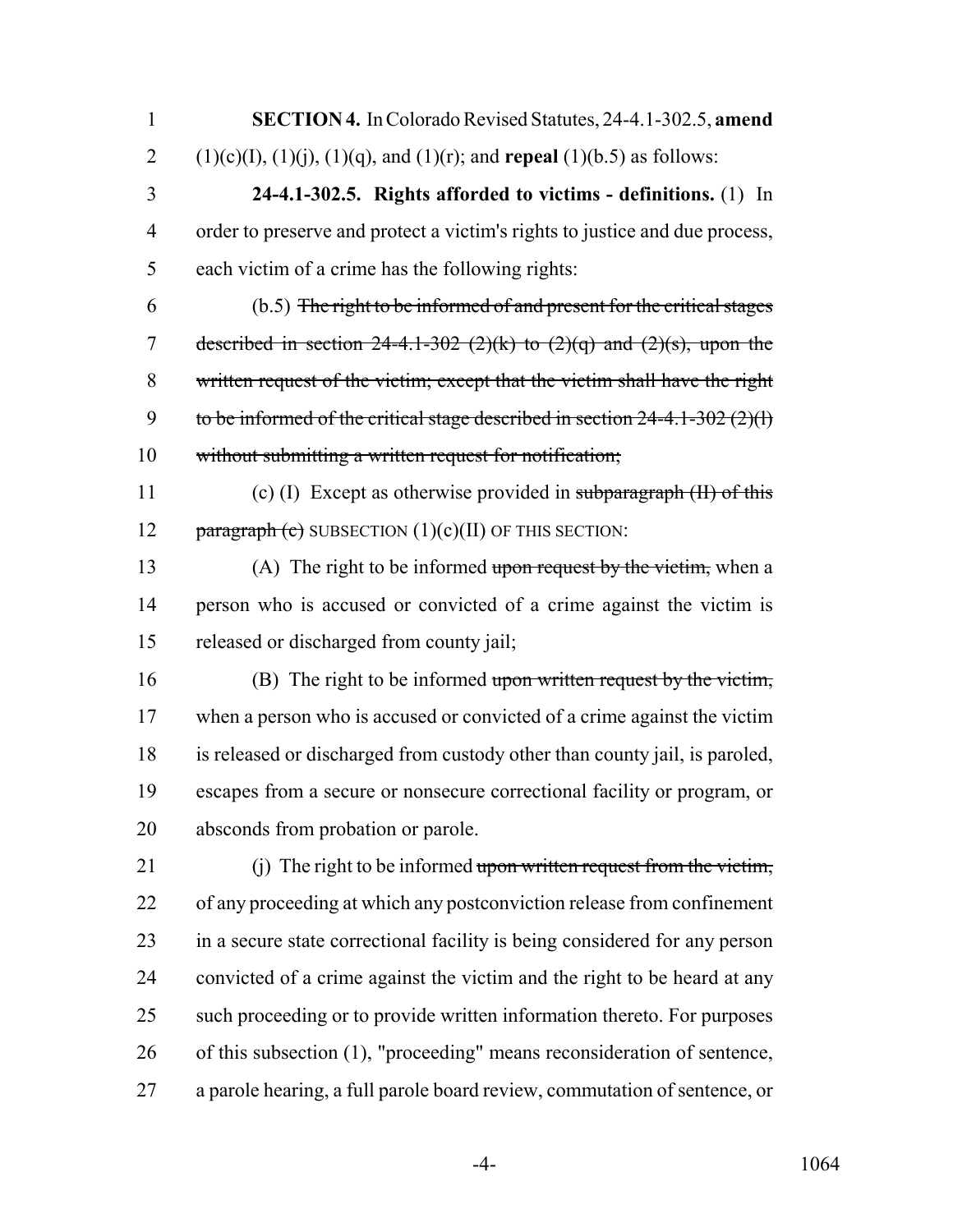**SECTION 4.** In Colorado Revised Statutes, 24-4.1-302.5, **amend** 2 (1)(c)(I), (1)(j), (1)(q), and (1)(r); and **repeal** (1)(b.5) as follows:

 **24-4.1-302.5. Rights afforded to victims - definitions.** (1) In order to preserve and protect a victim's rights to justice and due process, each victim of a crime has the following rights:

 (b.5) The right to be informed of and present for the critical stages 7 described in section  $24-4.1-302$  ( $2$ )(k) to ( $2$ )( $\alpha$ ) and ( $2$ )( $\alpha$ ), upon the written request of the victim; except that the victim shall have the right 9 to be informed of the critical stage described in section  $24-4.1-302(2)(1)$ without submitting a written request for notification;

 (c) (I) Except as otherwise provided in subparagraph (II) of this 12 paragraph (c) SUBSECTION  $(1)(c)(II)$  OF THIS SECTION:

13 (A) The right to be informed upon request by the victim, when a person who is accused or convicted of a crime against the victim is released or discharged from county jail;

 (B) The right to be informed upon written request by the victim, when a person who is accused or convicted of a crime against the victim is released or discharged from custody other than county jail, is paroled, escapes from a secure or nonsecure correctional facility or program, or absconds from probation or parole.

21 (i) The right to be informed upon written request from the victim, of any proceeding at which any postconviction release from confinement in a secure state correctional facility is being considered for any person convicted of a crime against the victim and the right to be heard at any such proceeding or to provide written information thereto. For purposes of this subsection (1), "proceeding" means reconsideration of sentence, a parole hearing, a full parole board review, commutation of sentence, or

-4- 1064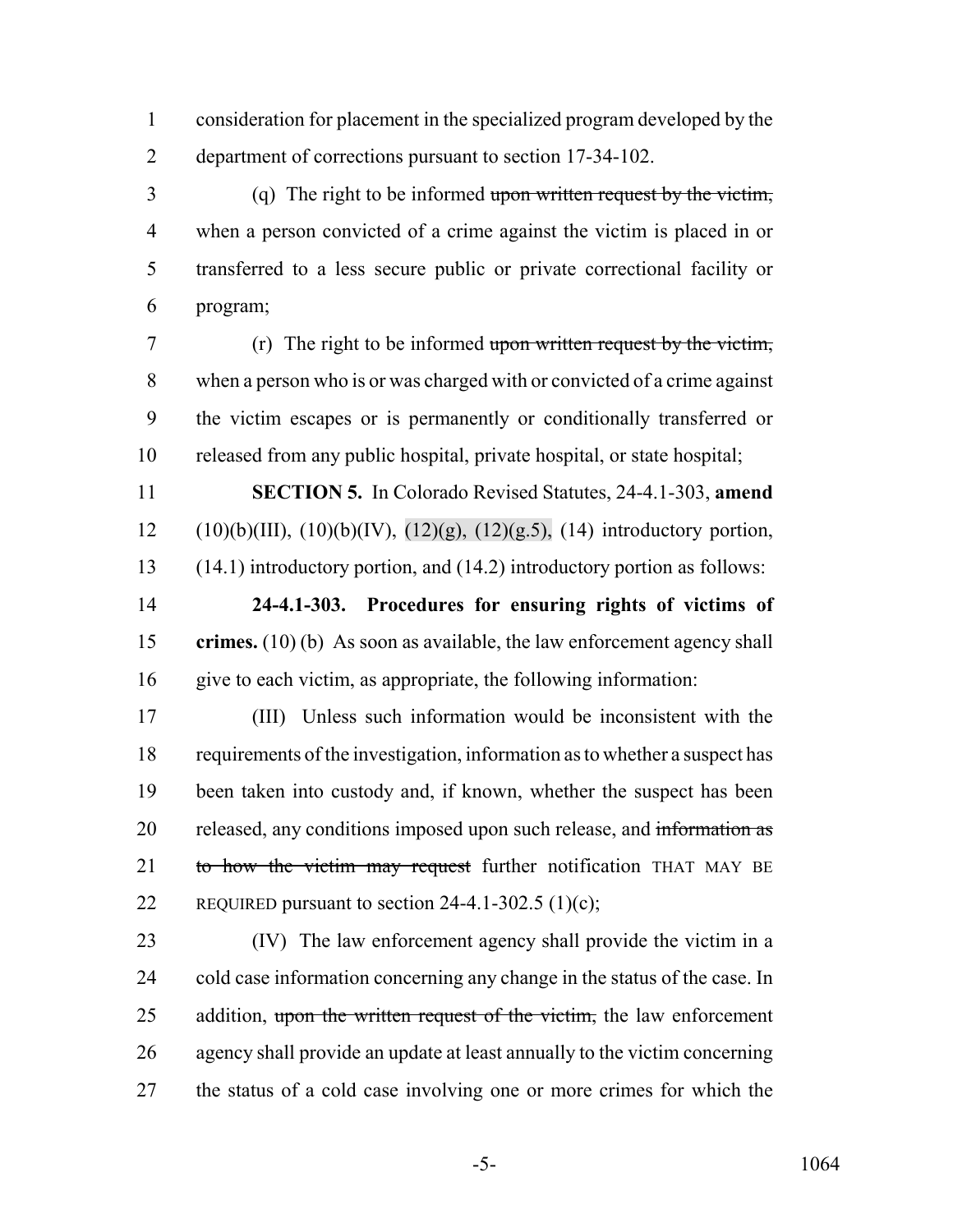consideration for placement in the specialized program developed by the department of corrections pursuant to section 17-34-102.

 (q) The right to be informed upon written request by the victim, when a person convicted of a crime against the victim is placed in or transferred to a less secure public or private correctional facility or program;

 (r) The right to be informed upon written request by the victim, when a person who is or was charged with or convicted of a crime against the victim escapes or is permanently or conditionally transferred or released from any public hospital, private hospital, or state hospital;

 **SECTION 5.** In Colorado Revised Statutes, 24-4.1-303, **amend** 12 (10)(b)(III), (10)(b)(IV), (12)(g), (12)(g.5), (14) introductory portion, (14.1) introductory portion, and (14.2) introductory portion as follows:

 **24-4.1-303. Procedures for ensuring rights of victims of crimes.** (10) (b) As soon as available, the law enforcement agency shall give to each victim, as appropriate, the following information:

 (III) Unless such information would be inconsistent with the requirements of the investigation, information as to whether a suspect has been taken into custody and, if known, whether the suspect has been 20 released, any conditions imposed upon such release, and information as 21 to how the victim may request further notification THAT MAY BE 22 REQUIRED pursuant to section  $24-4.1-302.5$  (1)(c);

 (IV) The law enforcement agency shall provide the victim in a cold case information concerning any change in the status of the case. In 25 addition, upon the written request of the victim, the law enforcement agency shall provide an update at least annually to the victim concerning the status of a cold case involving one or more crimes for which the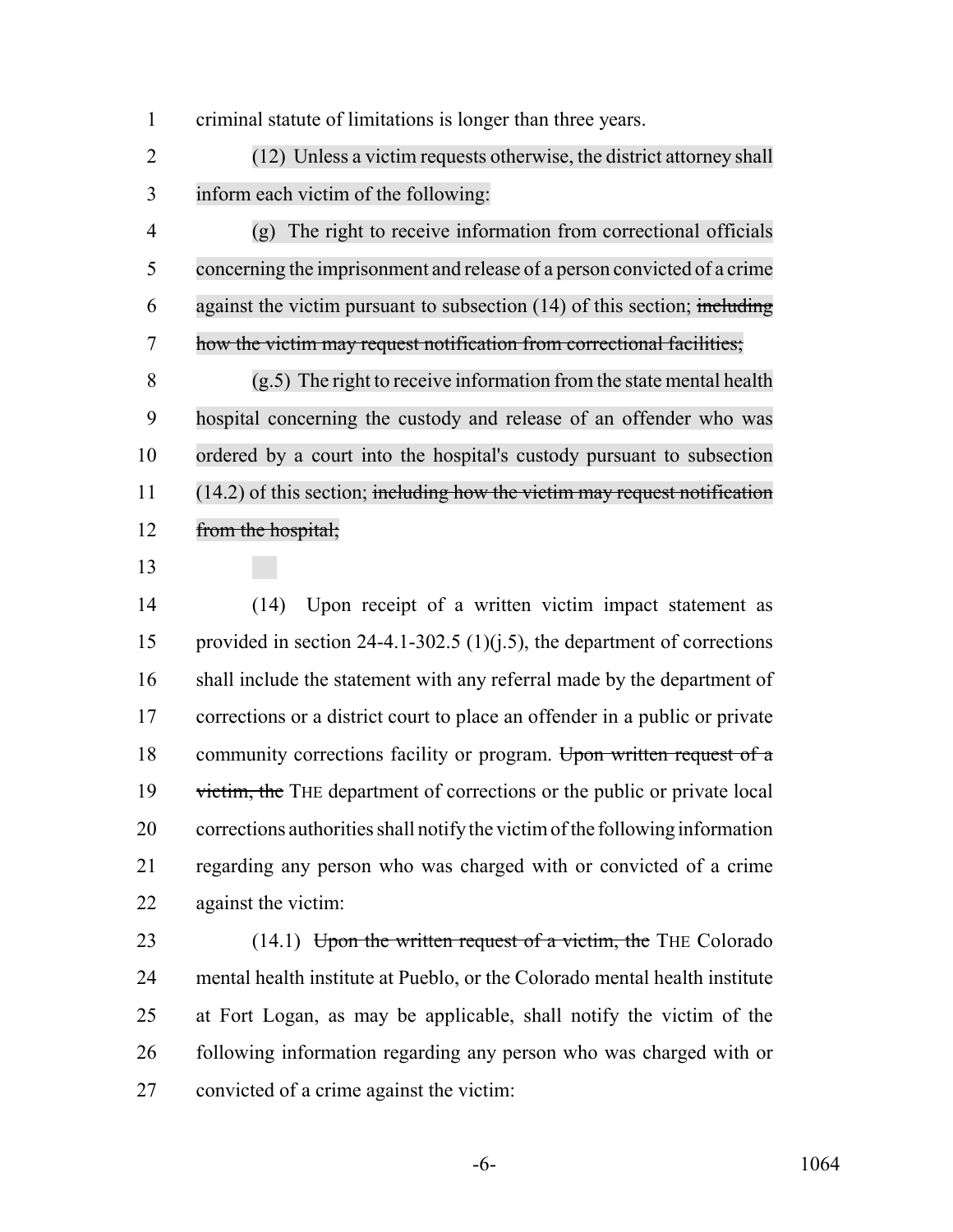criminal statute of limitations is longer than three years.

 (12) Unless a victim requests otherwise, the district attorney shall inform each victim of the following:

 (g) The right to receive information from correctional officials concerning the imprisonment and release of a person convicted of a crime 6 against the victim pursuant to subsection  $(14)$  of this section; including how the victim may request notification from correctional facilities;

 (g.5) The right to receive information from the state mental health hospital concerning the custody and release of an offender who was ordered by a court into the hospital's custody pursuant to subsection 11 (14.2) of this section; including how the victim may request notification 12 from the hospital;

 (14) Upon receipt of a written victim impact statement as provided in section 24-4.1-302.5 (1)(j.5), the department of corrections shall include the statement with any referral made by the department of corrections or a district court to place an offender in a public or private 18 community corrections facility or program. Upon written request of a 19 victim, the THE department of corrections or the public or private local corrections authorities shall notify the victim of the following information regarding any person who was charged with or convicted of a crime against the victim:

23 (14.1) Upon the written request of a victim, the THE Colorado mental health institute at Pueblo, or the Colorado mental health institute at Fort Logan, as may be applicable, shall notify the victim of the following information regarding any person who was charged with or convicted of a crime against the victim: